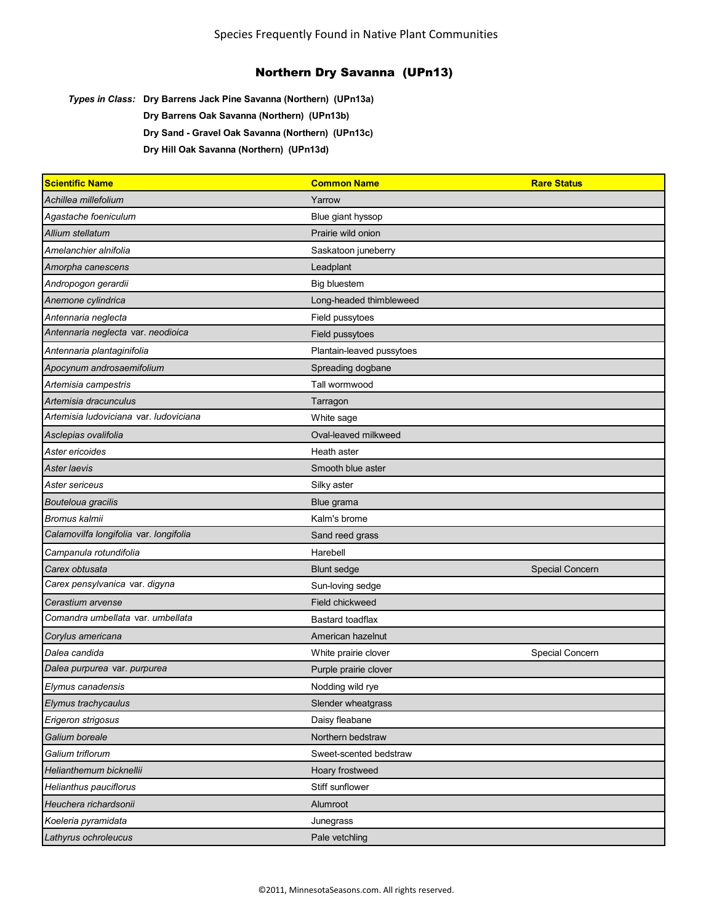*Types in Class:* **Dry Barrens Jack Pine Savanna (Northern) (UPn13a)**

**Dry Barrens Oak Savanna (Northern) (UPn13b)**

**Dry Sand - Gravel Oak Savanna (Northern) (UPn13c)**

**Dry Hill Oak Savanna (Northern) (UPn13d)**

| <b>Scientific Name</b>                 | <b>Common Name</b>        | <b>Rare Status</b> |
|----------------------------------------|---------------------------|--------------------|
| Achillea millefolium                   | Yarrow                    |                    |
| Agastache foeniculum                   | Blue giant hyssop         |                    |
| Allium stellatum                       | Prairie wild onion        |                    |
| Amelanchier alnifolia                  | Saskatoon juneberry       |                    |
| Amorpha canescens                      | Leadplant                 |                    |
| Andropogon gerardii                    | <b>Big bluestem</b>       |                    |
| Anemone cylindrica                     | Long-headed thimbleweed   |                    |
| Antennaria neglecta                    | Field pussytoes           |                    |
| Antennaria neglecta var. neodioica     | Field pussytoes           |                    |
| Antennaria plantaginifolia             | Plantain-leaved pussytoes |                    |
| Apocynum androsaemifolium              | Spreading dogbane         |                    |
| Artemisia campestris                   | Tall wormwood             |                    |
| Artemisia dracunculus                  | Tarragon                  |                    |
| Artemisia ludoviciana var. ludoviciana | White sage                |                    |
| Asclepias ovalifolia                   | Oval-leaved milkweed      |                    |
| Aster ericoides                        | Heath aster               |                    |
| Aster Iaevis                           | Smooth blue aster         |                    |
| Aster sericeus                         | Silky aster               |                    |
| Bouteloua gracilis                     | Blue grama                |                    |
| Bromus kalmii                          | Kalm's brome              |                    |
| Calamovilfa longifolia var. longifolia | Sand reed grass           |                    |
| Campanula rotundifolia                 | Harebell                  |                    |
| Carex obtusata                         | <b>Blunt sedge</b>        | Special Concern    |
| Carex pensylvanica var. digyna         | Sun-loving sedge          |                    |
| Cerastium arvense                      | Field chickweed           |                    |
| Comandra umbellata var. umbellata      | Bastard toadflax          |                    |
| Corylus americana                      | American hazelnut         |                    |
| Dalea candida                          | White prairie clover      | Special Concern    |
| Dalea purpurea var. purpurea           | Purple prairie clover     |                    |
| Elymus canadensis                      | Nodding wild rye          |                    |
| Elymus trachycaulus                    | Slender wheatgrass        |                    |
| Erigeron strigosus                     | Daisy fleabane            |                    |
| Galium boreale                         | Northern bedstraw         |                    |
| Galium triflorum                       | Sweet-scented bedstraw    |                    |
| Helianthemum bicknellii                | Hoary frostweed           |                    |
| Helianthus pauciflorus                 | Stiff sunflower           |                    |
| Heuchera richardsonii                  | Alumroot                  |                    |
| Koeleria pyramidata                    | Junegrass                 |                    |
| Lathyrus ochroleucus                   | Pale vetchling            |                    |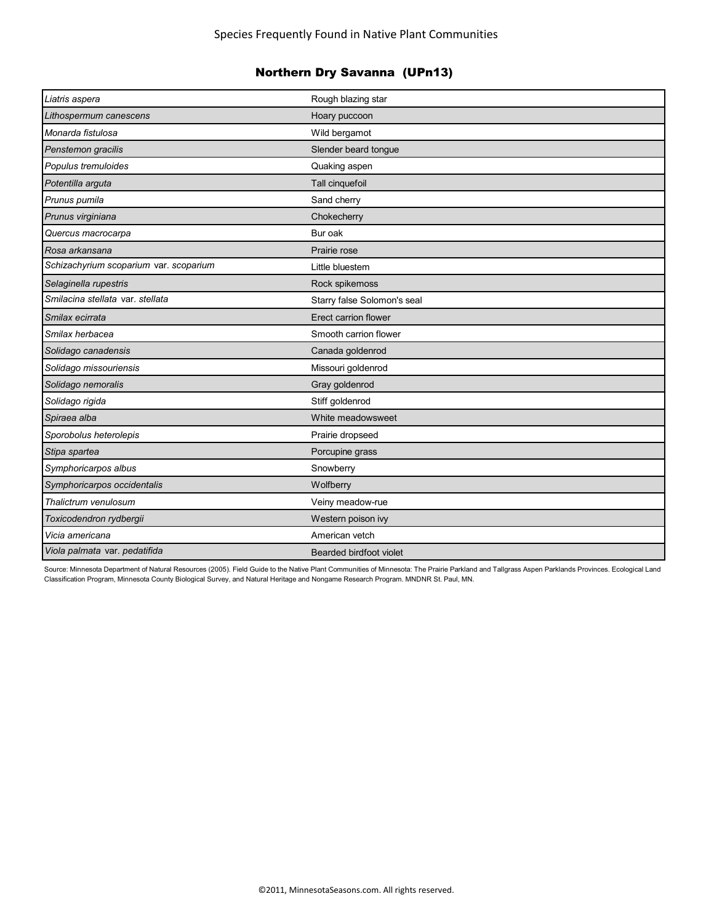| Liatris aspera                         | Rough blazing star          |
|----------------------------------------|-----------------------------|
| Lithospermum canescens                 | Hoary puccoon               |
| Monarda fistulosa                      | Wild bergamot               |
| Penstemon gracilis                     | Slender beard tongue        |
| Populus tremuloides                    | Quaking aspen               |
| Potentilla arguta                      | Tall cinquefoil             |
| Prunus pumila                          | Sand cherry                 |
| Prunus virginiana                      | Chokecherry                 |
| Quercus macrocarpa                     | Bur oak                     |
| Rosa arkansana                         | Prairie rose                |
| Schizachyrium scoparium var. scoparium | Little bluestem             |
| Selaginella rupestris                  | Rock spikemoss              |
| Smilacina stellata var. stellata       | Starry false Solomon's seal |
| Smilax ecirrata                        | Erect carrion flower        |
| Smilax herbacea                        | Smooth carrion flower       |
| Solidago canadensis                    | Canada goldenrod            |
| Solidago missouriensis                 | Missouri goldenrod          |
| Solidago nemoralis                     | Gray goldenrod              |
| Solidago rigida                        | Stiff goldenrod             |
| Spiraea alba                           | White meadowsweet           |
| Sporobolus heterolepis                 | Prairie dropseed            |
| Stipa spartea                          | Porcupine grass             |
| Symphoricarpos albus                   | Snowberry                   |
| Symphoricarpos occidentalis            | Wolfberry                   |
| Thalictrum venulosum                   | Veiny meadow-rue            |
| Toxicodendron rydbergii                | Western poison ivy          |
| Vicia americana                        | American vetch              |
| Viola palmata var. pedatifida          | Bearded birdfoot violet     |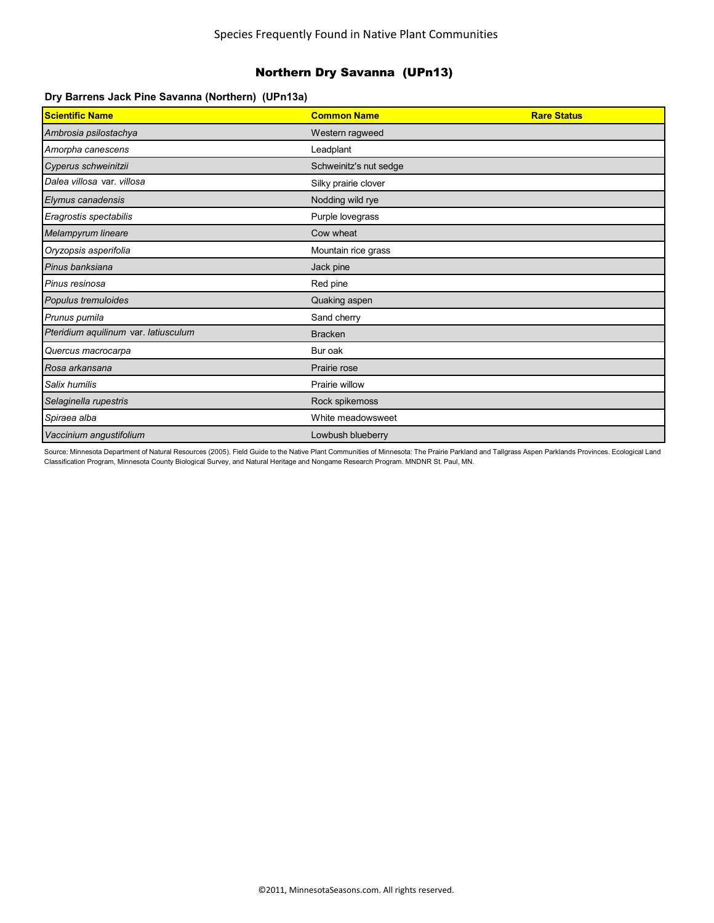### **Dry Barrens Jack Pine Savanna (Northern) (UPn13a)**

| <b>Scientific Name</b>               | <b>Common Name</b>     | <b>Rare Status</b> |
|--------------------------------------|------------------------|--------------------|
| Ambrosia psilostachya                | Western ragweed        |                    |
| Amorpha canescens                    | Leadplant              |                    |
| Cyperus schweinitzii                 | Schweinitz's nut sedge |                    |
| Dalea villosa var. villosa           | Silky prairie clover   |                    |
| Elymus canadensis                    | Nodding wild rye       |                    |
| Eragrostis spectabilis               | Purple lovegrass       |                    |
| Melampyrum lineare                   | Cow wheat              |                    |
| Oryzopsis asperifolia                | Mountain rice grass    |                    |
| Pinus banksiana                      | Jack pine              |                    |
| Pinus resinosa                       | Red pine               |                    |
| Populus tremuloides                  | Quaking aspen          |                    |
| Prunus pumila                        | Sand cherry            |                    |
| Pteridium aquilinum var. latiusculum | <b>Bracken</b>         |                    |
| Quercus macrocarpa                   | Bur oak                |                    |
| Rosa arkansana                       | Prairie rose           |                    |
| Salix humilis                        | Prairie willow         |                    |
| Selaginella rupestris                | Rock spikemoss         |                    |
| Spiraea alba                         | White meadowsweet      |                    |
| Vaccinium angustifolium              | Lowbush blueberry      |                    |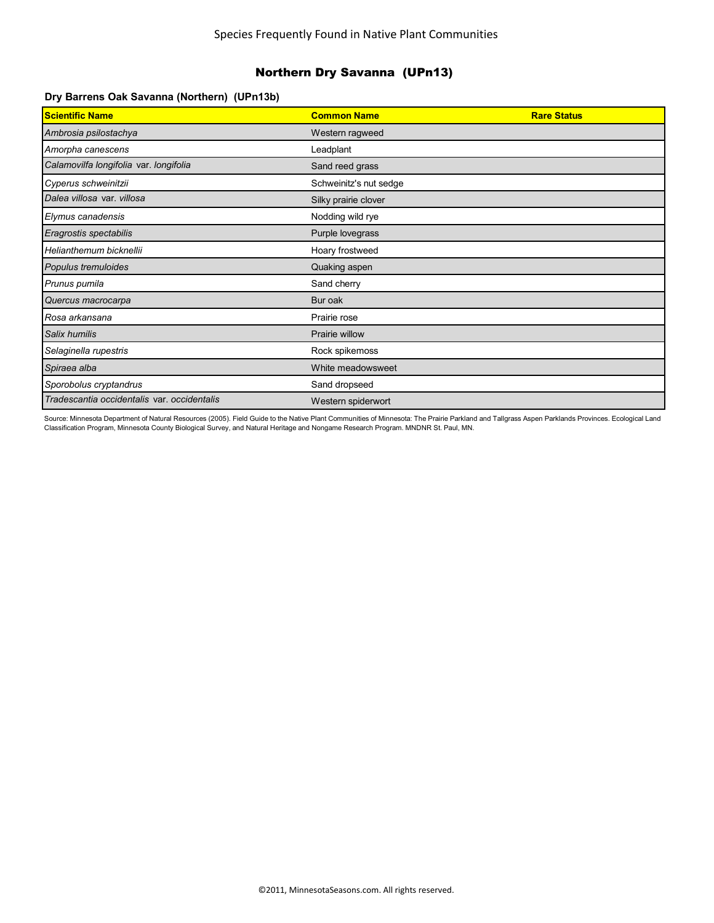#### **Dry Barrens Oak Savanna (Northern) (UPn13b)**

| Scientific Name                             | <b>Common Name</b>     | <b>Rare Status</b> |
|---------------------------------------------|------------------------|--------------------|
| Ambrosia psilostachya                       | Western ragweed        |                    |
| Amorpha canescens                           | Leadplant              |                    |
| Calamovilfa longifolia var. longifolia      | Sand reed grass        |                    |
| Cyperus schweinitzii                        | Schweinitz's nut sedge |                    |
| Dalea villosa var. villosa                  | Silky prairie clover   |                    |
| Elymus canadensis                           | Nodding wild rye       |                    |
| Eragrostis spectabilis                      | Purple lovegrass       |                    |
| Helianthemum bicknellii                     | Hoary frostweed        |                    |
| Populus tremuloides                         | Quaking aspen          |                    |
| Prunus pumila                               | Sand cherry            |                    |
| Quercus macrocarpa                          | Bur oak                |                    |
| Rosa arkansana                              | Prairie rose           |                    |
| Salix humilis                               | Prairie willow         |                    |
| Selaginella rupestris                       | Rock spikemoss         |                    |
| Spiraea alba                                | White meadowsweet      |                    |
| Sporobolus cryptandrus                      | Sand dropseed          |                    |
| Tradescantia occidentalis var. occidentalis | Western spiderwort     |                    |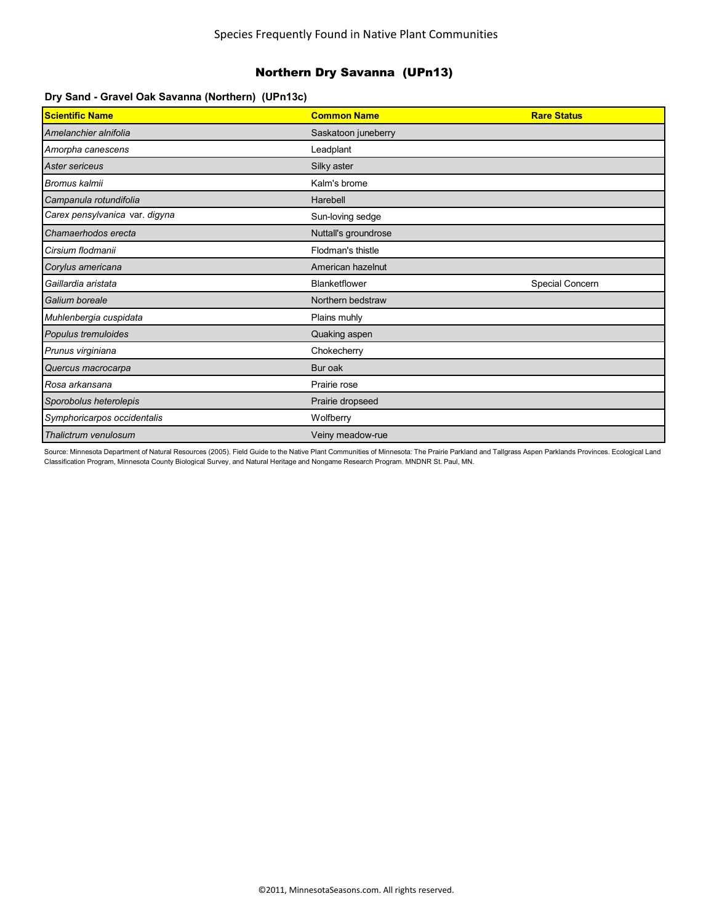### **Dry Sand - Gravel Oak Savanna (Northern) (UPn13c)**

| <b>Scientific Name</b>         | <b>Common Name</b>   | <b>Rare Status</b> |
|--------------------------------|----------------------|--------------------|
| Amelanchier alnifolia          | Saskatoon juneberry  |                    |
| Amorpha canescens              | Leadplant            |                    |
| Aster sericeus                 | Silky aster          |                    |
| <b>Bromus kalmii</b>           | Kalm's brome         |                    |
| Campanula rotundifolia         | Harebell             |                    |
| Carex pensylvanica var. digyna | Sun-loving sedge     |                    |
| Chamaerhodos erecta            | Nuttall's groundrose |                    |
| Cirsium flodmanii              | Flodman's thistle    |                    |
| Corylus americana              | American hazelnut    |                    |
|                                |                      |                    |
| Gaillardia aristata            | <b>Blanketflower</b> | Special Concern    |
| Galium boreale                 | Northern bedstraw    |                    |
| Muhlenbergia cuspidata         | Plains muhly         |                    |
| Populus tremuloides            | Quaking aspen        |                    |
| Prunus virginiana              | Chokecherry          |                    |
| Quercus macrocarpa             | Bur oak              |                    |
| Rosa arkansana                 | Prairie rose         |                    |
| Sporobolus heterolepis         | Prairie dropseed     |                    |
| Symphoricarpos occidentalis    | Wolfberry            |                    |